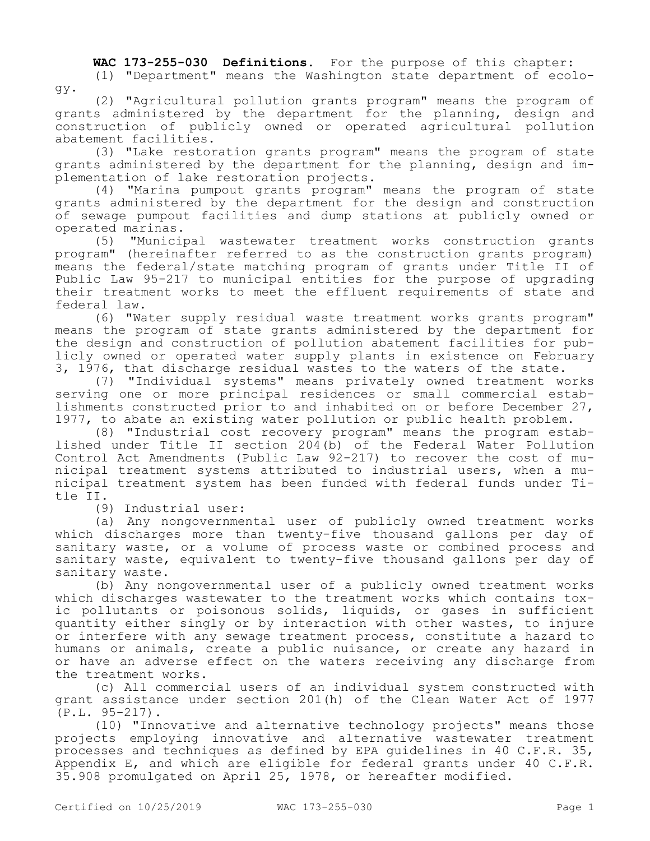**WAC 173-255-030 Definitions.** For the purpose of this chapter:

(1) "Department" means the Washington state department of ecology.

(2) "Agricultural pollution grants program" means the program of grants administered by the department for the planning, design and construction of publicly owned or operated agricultural pollution abatement facilities.

(3) "Lake restoration grants program" means the program of state grants administered by the department for the planning, design and implementation of lake restoration projects.

(4) "Marina pumpout grants program" means the program of state grants administered by the department for the design and construction of sewage pumpout facilities and dump stations at publicly owned or operated marinas.

(5) "Municipal wastewater treatment works construction grants program" (hereinafter referred to as the construction grants program) means the federal/state matching program of grants under Title II of Public Law 95-217 to municipal entities for the purpose of upgrading their treatment works to meet the effluent requirements of state and federal law.

(6) "Water supply residual waste treatment works grants program" means the program of state grants administered by the department for the design and construction of pollution abatement facilities for publicly owned or operated water supply plants in existence on February 3, 1976, that discharge residual wastes to the waters of the state.

(7) "Individual systems" means privately owned treatment works serving one or more principal residences or small commercial establishments constructed prior to and inhabited on or before December 27, 1977, to abate an existing water pollution or public health problem.

(8) "Industrial cost recovery program" means the program established under Title II section 204(b) of the Federal Water Pollution Control Act Amendments (Public Law 92-217) to recover the cost of municipal treatment systems attributed to industrial users, when a municipal treatment system has been funded with federal funds under Title II.

(9) Industrial user:

(a) Any nongovernmental user of publicly owned treatment works which discharges more than twenty-five thousand gallons per day of sanitary waste, or a volume of process waste or combined process and sanitary waste, equivalent to twenty-five thousand gallons per day of sanitary waste.

(b) Any nongovernmental user of a publicly owned treatment works which discharges wastewater to the treatment works which contains toxic pollutants or poisonous solids, liquids, or gases in sufficient quantity either singly or by interaction with other wastes, to injure or interfere with any sewage treatment process, constitute a hazard to humans or animals, create a public nuisance, or create any hazard in or have an adverse effect on the waters receiving any discharge from the treatment works.

(c) All commercial users of an individual system constructed with grant assistance under section 201(h) of the Clean Water Act of 1977 (P.L. 95-217).

(10) "Innovative and alternative technology projects" means those projects employing innovative and alternative wastewater treatment processes and techniques as defined by EPA guidelines in 40 C.F.R. 35, Appendix E, and which are eligible for federal grants under 40 C.F.R. 35.908 promulgated on April 25, 1978, or hereafter modified.